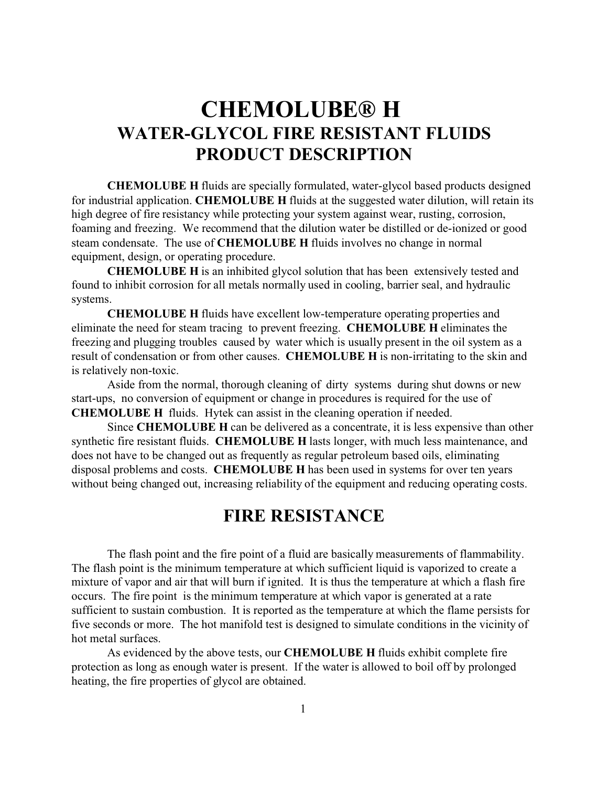# **CHEMOLUBE® H WATER-GLYCOL FIRE RESISTANT FLUIDS PRODUCT DESCRIPTION**

**CHEMOLUBE H** fluids are specially formulated, water-glycol based products designed for industrial application. **CHEMOLUBE H** fluids at the suggested water dilution, will retain its high degree of fire resistancy while protecting your system against wear, rusting, corrosion, foaming and freezing. We recommend that the dilution water be distilled or de-ionized or good steam condensate. The use of **CHEMOLUBE H** fluids involves no change in normal equipment, design, or operating procedure.

**CHEMOLUBE H** is an inhibited glycol solution that has been extensively tested and found to inhibit corrosion for all metals normally used in cooling, barrier seal, and hydraulic systems.

**CHEMOLUBE H** fluids have excellent low-temperature operating properties and eliminate the need for steam tracing to prevent freezing. **CHEMOLUBE H** eliminates the freezing and plugging troubles caused by water which is usually present in the oil system as a result of condensation or from other causes. **CHEMOLUBE H** is non-irritating to the skin and is relatively non-toxic.

Aside from the normal, thorough cleaning of dirty systems during shut downs or new start-ups, no conversion of equipment or change in procedures is required for the use of **CHEMOLUBE H** fluids. Hytek can assist in the cleaning operation if needed.

Since **CHEMOLUBE H** can be delivered as a concentrate, it is less expensive than other synthetic fire resistant fluids. **CHEMOLUBE H** lasts longer, with much less maintenance, and does not have to be changed out as frequently as regular petroleum based oils, eliminating disposal problems and costs. **CHEMOLUBE H** has been used in systems for over ten years without being changed out, increasing reliability of the equipment and reducing operating costs.

## **FIRE RESISTANCE**

The flash point and the fire point of a fluid are basically measurements of flammability. The flash point is the minimum temperature at which sufficient liquid is vaporized to create a mixture of vapor and air that will burn if ignited. It is thus the temperature at which a flash fire occurs. The fire point is the minimum temperature at which vapor is generated at a rate sufficient to sustain combustion. It is reported as the temperature at which the flame persists for five seconds or more. The hot manifold test is designed to simulate conditions in the vicinity of hot metal surfaces.

As evidenced by the above tests, our **CHEMOLUBE H** fluids exhibit complete fire protection as long as enough water is present. If the water is allowed to boil off by prolonged heating, the fire properties of glycol are obtained.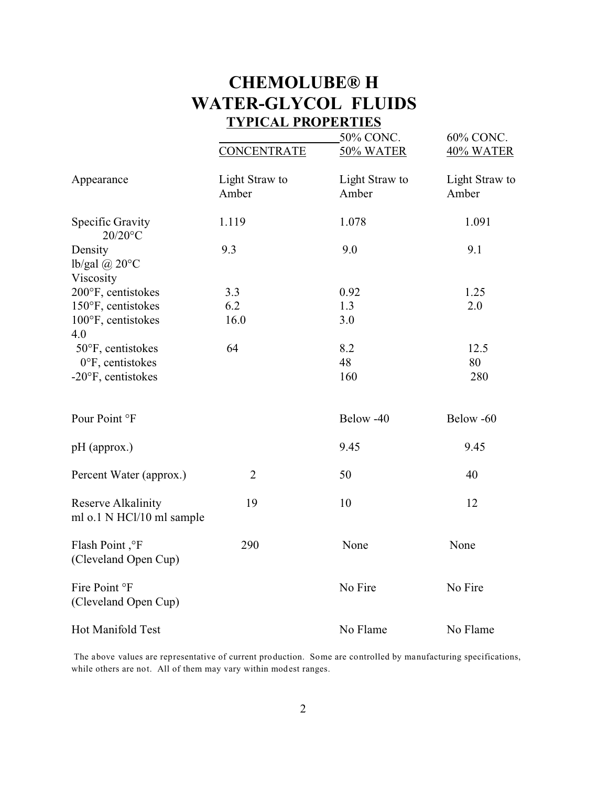## **CHEMOLUBE® H WATER-GLYCOL FLUIDS TYPICAL PROPERTIES**

|                                                        | <b>CONCENTRATE</b>      | 50% CONC.<br>50% WATER  | 60% CONC.<br>40% WATER  |
|--------------------------------------------------------|-------------------------|-------------------------|-------------------------|
| Appearance                                             | Light Straw to<br>Amber | Light Straw to<br>Amber | Light Straw to<br>Amber |
| <b>Specific Gravity</b><br>20/20°C                     | 1.119                   | 1.078                   | 1.091                   |
| Density<br>lb/gal $(a)$ 20 $\degree$ C<br>Viscosity    | 9.3                     | 9.0                     | 9.1                     |
| 200°F, centistokes                                     | 3.3                     | 0.92                    | 1.25                    |
| 150°F, centistokes                                     | 6.2                     | 1.3                     | 2.0                     |
| 100°F, centistokes                                     | 16.0                    | 3.0                     |                         |
| 4.0                                                    |                         |                         |                         |
| 50°F, centistokes                                      | 64                      | 8.2                     | 12.5                    |
| $0^{\circ}$ F, centistokes                             |                         | 48                      | 80                      |
| -20°F, centistokes                                     |                         | 160                     | 280                     |
| Pour Point °F                                          |                         | Below -40               | Below -60               |
| pH (approx.)                                           |                         | 9.45                    | 9.45                    |
| Percent Water (approx.)                                | $\overline{2}$          | 50                      | 40                      |
| <b>Reserve Alkalinity</b><br>ml o.1 N HCl/10 ml sample | 19                      | 10                      | 12                      |
| Flash Point, °F<br>(Cleveland Open Cup)                | 290                     | None                    | None                    |
| Fire Point °F<br>(Cleveland Open Cup)                  |                         | No Fire                 | No Fire                 |
| Hot Manifold Test                                      |                         | No Flame                | No Flame                |

 The above values are representative of current production. Some are controlled by manufacturing specifications, while others are not. All of them may vary within modest ranges.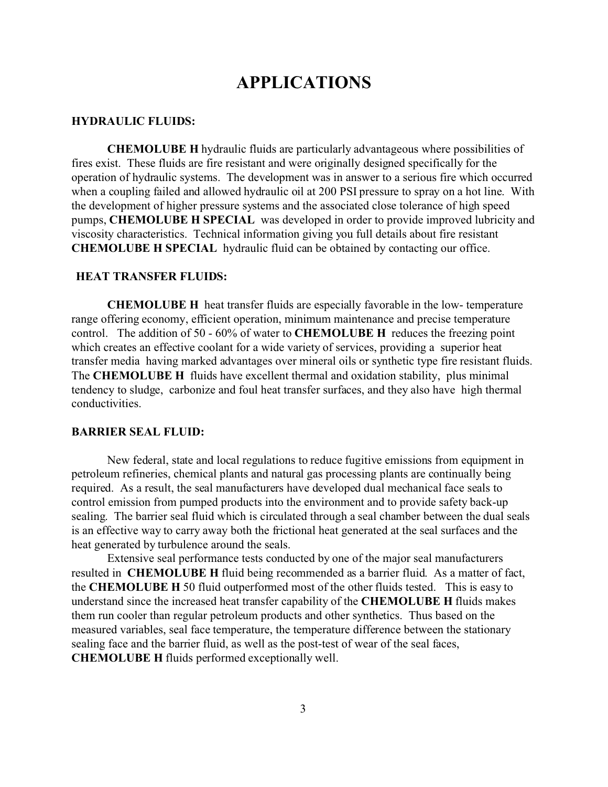### **APPLICATIONS**

#### **HYDRAULIC FLUIDS:**

**CHEMOLUBE H** hydraulic fluids are particularly advantageous where possibilities of fires exist. These fluids are fire resistant and were originally designed specifically for the operation of hydraulic systems. The development was in answer to a serious fire which occurred when a coupling failed and allowed hydraulic oil at 200 PSI pressure to spray on a hot line. With the development of higher pressure systems and the associated close tolerance of high speed pumps, **CHEMOLUBE H SPECIAL** was developed in order to provide improved lubricity and viscosity characteristics. Technical information giving you full details about fire resistant **CHEMOLUBE H SPECIAL** hydraulic fluid can be obtained by contacting our office.

#### **HEAT TRANSFER FLUIDS:**

**CHEMOLUBE H** heat transfer fluids are especially favorable in the low- temperature range offering economy, efficient operation, minimum maintenance and precise temperature control. The addition of 50 - 60% of water to **CHEMOLUBE H** reduces the freezing point which creates an effective coolant for a wide variety of services, providing a superior heat transfer media having marked advantages over mineral oils or synthetic type fire resistant fluids. The **CHEMOLUBE H** fluids have excellent thermal and oxidation stability, plus minimal tendency to sludge, carbonize and foul heat transfer surfaces, and they also have high thermal conductivities.

#### **BARRIER SEAL FLUID:**

New federal, state and local regulations to reduce fugitive emissions from equipment in petroleum refineries, chemical plants and natural gas processing plants are continually being required. As a result, the seal manufacturers have developed dual mechanical face seals to control emission from pumped products into the environment and to provide safety back-up sealing. The barrier seal fluid which is circulated through a seal chamber between the dual seals is an effective way to carry away both the frictional heat generated at the seal surfaces and the heat generated by turbulence around the seals.

Extensive seal performance tests conducted by one of the major seal manufacturers resulted in **CHEMOLUBE H** fluid being recommended as a barrier fluid. As a matter of fact, the **CHEMOLUBE H** 50 fluid outperformed most of the other fluids tested. This is easy to understand since the increased heat transfer capability of the **CHEMOLUBE H** fluids makes them run cooler than regular petroleum products and other synthetics. Thus based on the measured variables, seal face temperature, the temperature difference between the stationary sealing face and the barrier fluid, as well as the post-test of wear of the seal faces, **CHEMOLUBE H** fluids performed exceptionally well.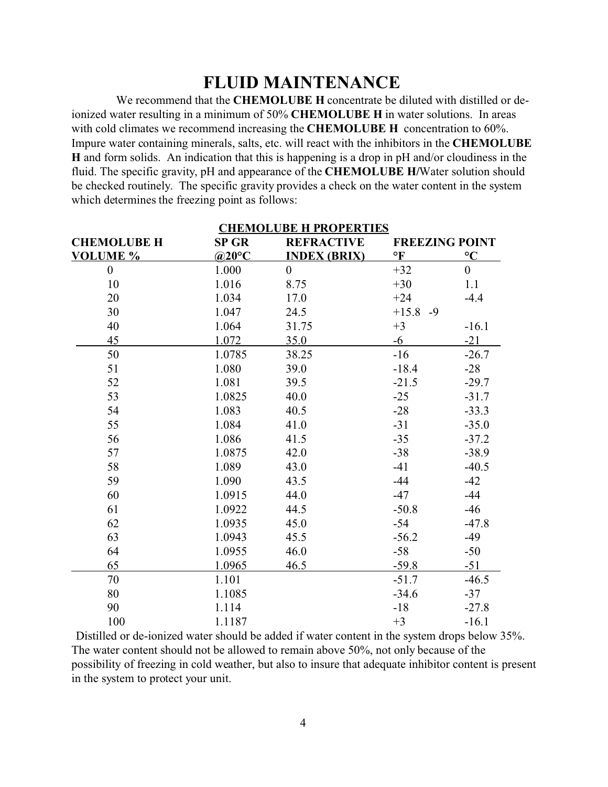## **FLUID MAINTENANCE**

 We recommend that the **CHEMOLUBE H** concentrate be diluted with distilled or deionized water resulting in a minimum of 50% **CHEMOLUBE H** in water solutions. In areas with cold climates we recommend increasing the **CHEMOLUBE H** concentration to 60%. Impure water containing minerals, salts, etc. will react with the inhibitors in the **CHEMOLUBE H** and form solids. An indication that this is happening is a drop in pH and/or cloudiness in the fluid. The specific gravity, pH and appearance of the **CHEMOLUBE H/**Water solution should be checked routinely. The specific gravity provides a check on the water content in the system which determines the freezing point as follows:

| <b>CHEMOLUBE H PROPERTIES</b> |              |                     |                 |                       |  |  |  |
|-------------------------------|--------------|---------------------|-----------------|-----------------------|--|--|--|
| <b>CHEMOLUBE H</b>            | <b>SP GR</b> | <b>REFRACTIVE</b>   |                 | <b>FREEZING POINT</b> |  |  |  |
| <b>VOLUME %</b>               | @20°C        | <b>INDEX (BRIX)</b> | $\mathbf{P}$    | $\rm ^{\circ}C$       |  |  |  |
| $\boldsymbol{0}$              | 1.000        | $\boldsymbol{0}$    | $+32$           | $\boldsymbol{0}$      |  |  |  |
| 10                            | 1.016        | 8.75                | $+30$           | 1.1                   |  |  |  |
| 20                            | 1.034        | 17.0                | $+24$           | $-4.4$                |  |  |  |
| 30                            | 1.047        | 24.5                | $+15.8$<br>$-9$ |                       |  |  |  |
| 40                            | 1.064        | 31.75               | $+3$            | $-16.1$               |  |  |  |
| 45                            | 1.072        | 35.0                | $-6$            | $-21$                 |  |  |  |
| 50                            | 1.0785       | 38.25               | $-16$           | $-26.7$               |  |  |  |
| 51                            | 1.080        | 39.0                | $-18.4$         | $-28$                 |  |  |  |
| 52                            | 1.081        | 39.5                | $-21.5$         | $-29.7$               |  |  |  |
| 53                            | 1.0825       | 40.0                | $-25$           | $-31.7$               |  |  |  |
| 54                            | 1.083        | 40.5                | $-28$           | $-33.3$               |  |  |  |
| 55                            | 1.084        | 41.0                | $-31$           | $-35.0$               |  |  |  |
| 56                            | 1.086        | 41.5                | $-35$           | $-37.2$               |  |  |  |
| 57                            | 1.0875       | 42.0                | $-38$           | $-38.9$               |  |  |  |
| 58                            | 1.089        | 43.0                | $-41$           | $-40.5$               |  |  |  |
| 59                            | 1.090        | 43.5                | $-44$           | $-42$                 |  |  |  |
| 60                            | 1.0915       | 44.0                | $-47$           | $-44$                 |  |  |  |
| 61                            | 1.0922       | 44.5                | $-50.8$         | $-46$                 |  |  |  |
| 62                            | 1.0935       | 45.0                | $-54$           | $-47.8$               |  |  |  |
| 63                            | 1.0943       | 45.5                | $-56.2$         | $-49$                 |  |  |  |
| 64                            | 1.0955       | 46.0                | $-58$           | $-50$                 |  |  |  |
| 65                            | 1.0965       | 46.5                | $-59.8$         | $-51$                 |  |  |  |
| 70                            | 1.101        |                     | $-51.7$         | $-46.5$               |  |  |  |
| 80                            | 1.1085       |                     | $-34.6$         | $-37$                 |  |  |  |
| 90                            | 1.114        |                     | $-18$           | $-27.8$               |  |  |  |
| 100                           | 1.1187       |                     | $+3$            | $-16.1$               |  |  |  |

Distilled or de-ionized water should be added if water content in the system drops below 35%. The water content should not be allowed to remain above 50%, not only because of the possibility of freezing in cold weather, but also to insure that adequate inhibitor content is present in the system to protect your unit.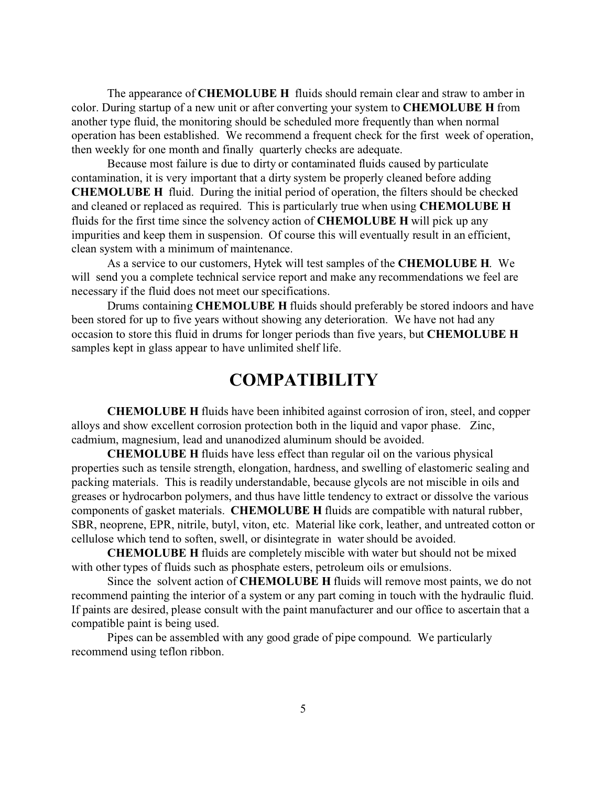The appearance of **CHEMOLUBE H** fluids should remain clear and straw to amber in color. During startup of a new unit or after converting your system to **CHEMOLUBE H** from another type fluid, the monitoring should be scheduled more frequently than when normal operation has been established. We recommend a frequent check for the first week of operation, then weekly for one month and finally quarterly checks are adequate.

Because most failure is due to dirty or contaminated fluids caused by particulate contamination, it is very important that a dirty system be properly cleaned before adding **CHEMOLUBE H** fluid. During the initial period of operation, the filters should be checked and cleaned or replaced as required. This is particularly true when using **CHEMOLUBE H** fluids for the first time since the solvency action of **CHEMOLUBE H** will pick up any impurities and keep them in suspension. Of course this will eventually result in an efficient, clean system with a minimum of maintenance.

As a service to our customers, Hytek will test samples of the **CHEMOLUBE H**. We will send you a complete technical service report and make any recommendations we feel are necessary if the fluid does not meet our specifications.

Drums containing **CHEMOLUBE H** fluids should preferably be stored indoors and have been stored for up to five years without showing any deterioration. We have not had any occasion to store this fluid in drums for longer periods than five years, but **CHEMOLUBE H** samples kept in glass appear to have unlimited shelf life.

## **COMPATIBILITY**

**CHEMOLUBE H** fluids have been inhibited against corrosion of iron, steel, and copper alloys and show excellent corrosion protection both in the liquid and vapor phase. Zinc, cadmium, magnesium, lead and unanodized aluminum should be avoided.

**CHEMOLUBE H** fluids have less effect than regular oil on the various physical properties such as tensile strength, elongation, hardness, and swelling of elastomeric sealing and packing materials. This is readily understandable, because glycols are not miscible in oils and greases or hydrocarbon polymers, and thus have little tendency to extract or dissolve the various components of gasket materials. **CHEMOLUBE H** fluids are compatible with natural rubber, SBR, neoprene, EPR, nitrile, butyl, viton, etc. Material like cork, leather, and untreated cotton or cellulose which tend to soften, swell, or disintegrate in water should be avoided.

**CHEMOLUBE H** fluids are completely miscible with water but should not be mixed with other types of fluids such as phosphate esters, petroleum oils or emulsions.

Since the solvent action of **CHEMOLUBE H** fluids will remove most paints, we do not recommend painting the interior of a system or any part coming in touch with the hydraulic fluid. If paints are desired, please consult with the paint manufacturer and our office to ascertain that a compatible paint is being used.

Pipes can be assembled with any good grade of pipe compound. We particularly recommend using teflon ribbon.